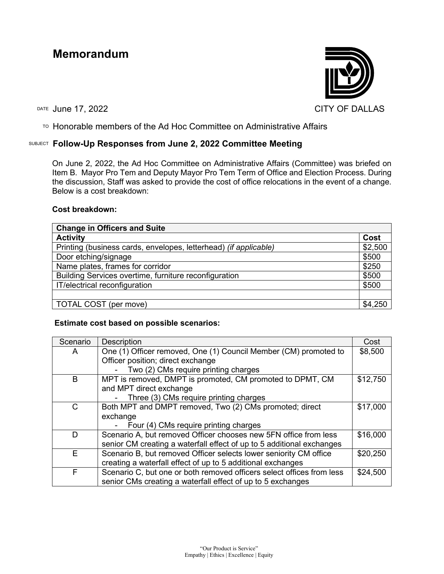# **Memorandum**



TO Honorable members of the Ad Hoc Committee on Administrative Affairs

## SUBJECT **Follow-Up Responses from June 2, 2022 Committee Meeting**

On June 2, 2022, the Ad Hoc Committee on Administrative Affairs (Committee) was briefed on Item B. Mayor Pro Tem and Deputy Mayor Pro Tem Term of Office and Election Process. During the discussion, Staff was asked to provide the cost of office relocations in the event of a change. Below is a cost breakdown:

### **Cost breakdown:**

| <b>Change in Officers and Suite</b>                              |         |  |
|------------------------------------------------------------------|---------|--|
| <b>Activity</b>                                                  | Cost    |  |
| Printing (business cards, envelopes, letterhead) (if applicable) | \$2,500 |  |
| Door etching/signage                                             | \$500   |  |
| Name plates, frames for corridor                                 | \$250   |  |
| Building Services overtime, furniture reconfiguration            | \$500   |  |
| IT/electrical reconfiguration                                    | \$500   |  |
|                                                                  |         |  |
| TOTAL COST (per move)                                            | \$4,250 |  |

### **Estimate cost based on possible scenarios:**

| Scenario | <b>Description</b>                                                    | Cost     |
|----------|-----------------------------------------------------------------------|----------|
| A        | One (1) Officer removed, One (1) Council Member (CM) promoted to      | \$8,500  |
|          | Officer position; direct exchange                                     |          |
|          | Two (2) CMs require printing charges                                  |          |
| B        | MPT is removed, DMPT is promoted, CM promoted to DPMT, CM             | \$12,750 |
|          | and MPT direct exchange                                               |          |
|          | Three (3) CMs require printing charges                                |          |
| C        | Both MPT and DMPT removed, Two (2) CMs promoted; direct               | \$17,000 |
|          | exchange                                                              |          |
|          | Four (4) CMs require printing charges                                 |          |
| D        | Scenario A, but removed Officer chooses new 5FN office from less      | \$16,000 |
|          | senior CM creating a waterfall effect of up to 5 additional exchanges |          |
| E        | Scenario B, but removed Officer selects lower seniority CM office     | \$20,250 |
|          | creating a waterfall effect of up to 5 additional exchanges           |          |
| F        | Scenario C, but one or both removed officers select offices from less | \$24,500 |
|          | senior CMs creating a waterfall effect of up to 5 exchanges           |          |